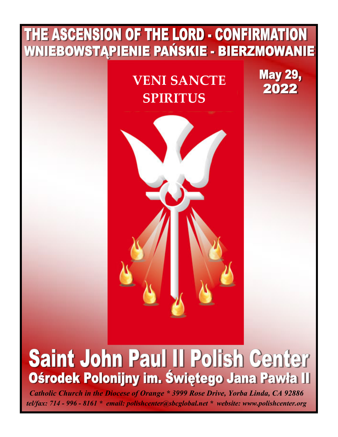# THE ASCENSION OF THE LORD - CONFIRMATION WNIEBOWSTĄPIENIE PAŃSKIE - BIERZMOWANIE **May 29, VENI SANCTE**  2022 **SPIRITUS**

# Saint John Paul II Polish Center Ośrodek Polonijny im. Świętego Jana Pawła II

*Catholic Church in the Diocese of Orange \* 3999 Rose Drive, Yorba Linda, CA 92886 tel/fax: 714 - 996 - 8161 \* email: polishcenter@sbcglobal.net \* website: www.polishcenter.org*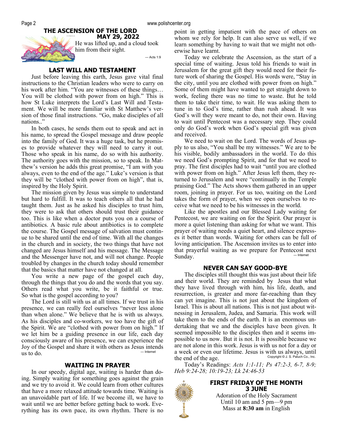#### **THE ASCENSION OF THE LORD MAY 29, 2022**



He was lifted up, and a cloud took him from their sight.

— Acts 1:9

# **LAST WILL AND TESTAMENT**

Just before leaving this earth, Jesus gave vital final instructions to the Christian leaders who were to carry on his work after him. "You are witnesses of these things… You will be clothed with power from on high." This is how St Luke interprets the Lord's Last Will and Testament. We will be more familiar with St Matthew's version of those final instructions. "Go, make disciples of all nations.."

In both cases, he sends them out to speak and act in his name, to spread the Gospel message and draw people into the family of God. It was a huge task, but he promises to provide whatever they will need to carry it out. Those who speak in his name, do so with his authority. The authority goes with the mission, so to speak. In Matthew's version he adds this great promise, "I am with you always, even to the end of the age." Luke's version is that they will be "clothed with power from on high", that is, inspired by the Holy Spirit.

The mission given by Jesus was simple to understand but hard to fulfill. It was to teach others all that he had taught them. Just as he asked his disciples to trust him, they were to ask that others should trust their guidance too. This is like when a doctor puts you on a course of antibiotics. A basic rule about antibiotics is to complete the course. The Gospel message of salvation must continue to be shared until the end of time. With all the changes in the church and in society, the two things that have not changed are Jesus himself and his message. The Message and the Messenger have not, and will not change. People troubled by changes in the church today should remember that the basics that matter have not changed at all.

You write a new page of the gospel each day, through the things that you do and the words that you say. Others read what you write, be it faithful or true. So what is the gospel according to you?

The Lord is still with us at all times. If we trust in his presence, we can really feel ourselves "never less alone than when alone." We believe that he is with us always. As his disciples and co-workers, we too have the gift of the Spirit. We are "clothed with power from on high." If we let him be a guiding presence in our life, each day consciously aware of his presence, we can experience the Joy of the Gospel and share it with others as Jesus intends us to  $d$ o.

#### **WAITING IN PRAYER**

In our speedy, digital age, waiting is harder than doing. Simply waiting for something goes against the grain and we try to avoid it. We could learn from other cultures that have a more relaxed attitude towards time. Waiting is an unavoidable part of life. If we become ill, we have to wait until we are better before getting back to work. Everything has its own pace, its own rhythm. There is no point in getting impatient with the pace of others on whom we rely for help. It can also serve us well, if we learn something by having to wait that we might not otherwise have learnt.

Today we celebrate the Ascension, as the start of a special time of waiting. Jesus told his friends to wait in Jerusalem for the great gift they would need for their future work of sharing the Gospel. His words were, "Stay in the city, until you are clothed with power from on high." Some of them might have wanted to get straight down to work, feeling there was no time to waste. But he told them to take their time, to wait. He was asking them to tune in to God's time, rather than rush ahead. It was God's will they were meant to do, not their own. Having to wait until Pentecost was a necessary step. They could only do God's work when God's special gift was given and received.

We need to wait on the Lord. The words of Jesus apply to us also, "You shall be my witnesses." We are to be his visible, bodily ambassadors in the world. To do this we need God's prompting Spirit, and for that we need to pray. The first disciples had to wait "until you are clothed with power from on high." After Jesus left them, they returned to Jerusalem and were "continually in the Temple praising God." The Acts shows them gathered in an upper room, joining in prayer. For us too, waiting on the Lord takes the form of prayer, when we open ourselves to receive what we need to be his witnesses in the world.

Like the apostles and our Blessed Lady waiting for Pentecost, we are waiting on for the Spirit. Our prayer is more a quiet listening than asking for what we want. This prayer of waiting needs a quiet heart, and silence expresses it better than words. Waiting for others can be full of loving anticipation. The Ascension invites us to enter into that prayerful waiting as we prepare for Pentecost next<br> $\sum_{n=1}^{\infty}$ Sunday.

#### **NEVER CAN SAY GOOD-BYE**

The disciples still thought this was just about their life and their world. They are reminded by Jesus that what they have lived through with him, his life, death, and resurrection, is greater and more far-reaching than they can yet imagine. This is not just about the kingdom of Israel. This is about all nations. This is not just about witnessing in Jerusalem, Judea, and Samaria. This work will take them to the ends of the earth. It is an enormous undertaking that we and the disciples have been given. It seemed impossible to the disciples then and it seems impossible to us now. But it is not. It is possible because we are not alone in this work. Jesus is with us not for a day or a week or even our lifetime. Jesus is with us always, until<br>the end of the age the end of the age.

Today's Readings: *Acts 1:1-11; Ps 47:2-3, 6-7, 8-9; Heb 9:24-28; 10:19-23; Lk 24:46-53*

#### **FIRST FRIDAY OF THE MONTH 3 JUNE**

Adoration of the Holy Sacrament Until 10 am and 5 pm—9 pm Mass at **8:30 am** in English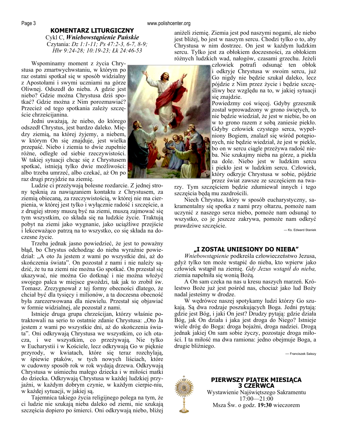#### **KOMENTARZ LITURGICZNY**

Cykl C, *Wniebowstąpienie Pańskie*  Czytania: *Dz 1:1-11; Ps 47:2-3, 6-7, 8-9; Hbr 9:24-28; 10:19-23; Łk 24:46-53* 

Wspominamy moment z życia Chrystusa po zmartwychwstaniu, w którym po raz ostatni spotkał się w sposób widzialny z Apostołami i swymi uczniami na górze Oliwnej. Odszedł do nieba. A gdzie jest niebo? Gdzie można Chrystusa dziś spotkać? Gdzie można z Nim porozmawiać? Przecież od tego spotkania zależy szczęście chrześcijanina.

Jedni uważają, że niebo, do którego odszedł Chrystus, jest bardzo daleko. Między ziemią, na której żyjemy, a niebem, w którym On się znajduje, jest wielka przepaść. Niebo i ziemia to dwie zupełnie różne, odległe od siebie rzeczywistości. W takiej sytuacji chcąc się z Chrystusem spotkać, istnieją tylko dwie możliwości: albo trzeba umrzeć, albo czekać, aż On po raz drugi przyjdzie na ziemię.

Ludzie ci przeżywają bolesne rozdarcie. Z jednej strony tęsknią za nawiązaniem kontaktu z Chrystusem, za ziemią obiecaną, za rzeczywistością, w której nie ma cierpienia, w której jest tylko i wyłącznie radość i szczęście, a z drugiej strony muszą być na ziemi, muszą zajmować się tym wszystkim, co składa się na ludzkie życie. Traktują pobyt na ziemi jako wygnanie, jako uciążliwe przejście i lekceważąco patrzą na to wszystko, co się składa na doczesne życie.

Trzeba jednak jasno powiedzieć, że jest to poważny błąd, bo Chrystus odchodząc do nieba wyraźnie powiedział: "A oto Ja jestem z wami po wszystkie dni, aż do skończenia świata". On pozostał z nami i nie należy sądzić, że tu na ziemi nie można Go spotkać. On przestał się ukazywać, nie można Go dotknąć i nie można włożyć swojego palca w miejsce gwoździ, tak jak to zrobił św. Tomasz. Zrezygnował z tej formy obecności dlatego, że chciał być dla tysięcy i milionów, a ta doczesna obecność była zarezerwowana dla niewielu. Przestał się objawiać w formie widzialnej, ale pozostał z nami.

Istnieje druga grupa chrześcijan, którzy właśnie potraktowali na serio to ostatnie zdanie Chrystusa: "Oto Ja jestem z wami po wszystkie dni, aż do skończenia świata". Oni odkrywają Chrystusa we wszystkim, co ich otacza, i we wszystkim, co przeżywają. Nie tylko w Eucharystii i w Kościele, lecz odkrywają Go w pięknie przyrody, w kwiatach, które się teraz rozchylają, w śpiewie ptaków, w tych nowych liściach, które w cudowny sposób rok w rok wydają drzewa. Odkrywają Chrystusa w uśmiechu małego dziecka i w miłości matki do dziecka. Odkrywają Chrystusa w każdej ludzkiej przyjaźni, w każdym dobrym czynie, w każdym cierpie-niu, w każdej sytuacji, w jakiej są.

Tajemnica takiego życia religijnego polega na tym, że ci ludzie nie szukają nieba daleko od ziemi, nie szukają szczęścia dopiero po śmierci. Oni odkrywają niebo, bliżej

aniżeli ziemię. Ziemia jest pod naszymi nogami, ale niebo jest bliżej, bo jest w naszym sercu. Chodzi tylko o to, aby Chrystusa w nim dostrzec. On jest w każdym ludzkim sercu. Tylko jest za obłokiem doczesności, za obłokiem różnych ludzkich wad, nałogów, czasami grzechu. Jeżeli człowiek potrafi odsunąć ten obłok

i odkryje Chrystusa w swoim sercu, już Go nigdy nie będzie szukał daleko, lecz pójdzie z Nim przez życie i będzie szczęśliwy bez względu na to, w jakiej sytuacji się znajdzie.

Powiedzmy coś więcej. Gdyby grzesznik został wprowadzony w grono świętych, to nie będzie wiedział, że jest w niebie, bo on w to grono razem z sobą zaniesie piekło. Gdyby człowiek czystego serca, wypełniony Bogiem, znalazł się wśród potępionych, nie będzie wiedział, że jest w piekle, bo on w sercu ciągle przeżywa radość nieba. Nie szukajmy nieba na górze, a piekła na dole. Niebo jest w ludzkim sercu i piekło jest w ludzkim sercu. Człowiek, który odkryje Chrystusa w sobie, pójdzie przez świat zawsze ze szczęściem na twa-

rzy. Tym szczęściem będzie zdumiewał innych i tego szczęścia będą mu zazdrościli.

Niech Chrystus, który w sposób eucharystyczny, sakramentalny się spotka z nami przy ołtarzu, pomoże nam uczynić z naszego serca niebo, pomoże nam odsunąć to wszystko, co je jeszcze zakrywa, pomoże nam odkryć prawdziwe szczęście. — Ks. Edward Staniek

#### **"I ZOSTAŁ UNIESIONY DO NIEBA"**

*Wniebowstąpienie* podkreśla człowieczeństwo Jezusa, gdyż tylko ten może wstąpić do nieba, kto wpierw jako człowiek wstąpił na ziemię. *Gdy Jezus wstąpił do nieba,* ziemia napełniła się wonią Bożą.

A On sam czeka na nas u kresu naszych marzeń. Królestwo Boże już jest pośród nas, chociaż jako lud Boży nadal jesteśmy w drodze.

W wędrówce naszej spotykamy ludzi którzy Go szukają. Są dwa rodzaje poszukujących Boga. Jedni pytają: gdzie jest Bóg, i jaki On jest? Drudzy pytają: gdzie działa Bóg, jak On działa i jaka jest droga do Niego? Istnieje wiele dróg do Boga: droga bojaźni, droga nadziei. Drogą jednak jakiej On sam sobie życzy, pozostaje droga miłości. I ta miłość ma dwa ramiona: jedno obejmuje Boga, a drugie bliźniego.

— Franciszek Salezy



**PIERWSZY PIĄTEK MIESIĄCA 3 CZERWCA**  Wystawienie Najświętszego Sakramentu 17:00—21:00 Msza Św. o godz. **19:30** wieczorem

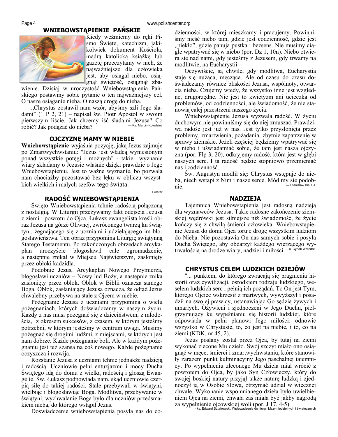### **WNIEBOWSTĄPIENIE PAŃSKIE**



Kiedy weźmiemy do ręki Pismo Święte, katechizm, jakikolwiek dokument Kościoła, mądrą katolicką książkę lub gazetę przeczytamy w nich, że najważniejsze dla człowieka jest, aby osiągał niebo, osiągnął świętość, osiągnął zba-

wienie. Dzisiaj w uroczystość Wniebowstąpienia Pańskiego postawmy sobie pytanie o ten najważniejszy cel. O nasze osiąganie nieba. O naszą drogę do nieba.

"Chrystus zostawił nam wzór, abyśmy szli Jego śladami" (1 P 2, 21) – napisał św. Piotr Apostoł w swoim pierwszym liście. Jak chcemy iść śladami Jezusa? Co<br>robić? Jak podażać do nieba? – Ks. Marcin Kolodziej robić? Jak podążać do nieba?

#### **OJCZYZNĘ MAMY W NIEBIE**

**Wniebowstąpienie** wyjaśnia pozycję, jaką Jezus zajmuje po Zmartwychwstaniu: "Jezus jest władcą wyniesionym ponad wszystkie potęgi i możnych" - takie wyznanie wiary składamy o Jezusie właśnie dzięki prawdzie o Jego Wniebowstąpieniu. Jest to ważne wyznanie, bo pozwala nam chociażby pozostawać bez lęku w obliczu wszystkich wielkich i małych szefów tego świata.

Forster

#### **RADOŚĆ WNIEBOWSTĄPIENIA**

Święto Wniebowstąpienia tchnie radością połączoną z nostalgią. W Liturgii przeżywamy fakt odejścia Jezusa z ziemi i powrotu do Ojca. Łukasz ewangelista kreśli obraz Jezusa na górze Oliwnej, zwróconego twarzą ku świątyni, żegnającego się z uczniami i udzielającego im błogosławieństwa. Ten obraz przypomina Liturgię świątynną Starego Testamentu. Po zakończonych obrzędach arcykapłan uroczyście błogosławił całe zgromadzenie, a następnie znikał w Miejscu Najświętszym, zasłonięty przez obłoki kadzidła.

Podobnie Jezus, Arcykapłan Nowego Przymierza, błogosławi uczniów – Nowy lud Boży, a następnie znika zasłonięty przez obłok. Obłok w Biblii oznacza samego Boga. Obłok, zasłaniający Jezusa oznacza, że odtąd Jezus chwalebny przebywa na stałe z Ojcem w niebie.

Pożegnanie Jezusa z uczniami przypomina o wielu pożegnaniach, których doświadczamy w naszym życiu. Każdy z nas musi pożegnać się z dzieciństwem, z młodością, z okresem sukcesów, z czasem, w którym jesteśmy potrzebni, w którym jesteśmy w centrum uwagi. Musimy pożegnać się drogimi ludźmi, z miejscami, w których jest nam dobrze. Każde pożegnanie boli. Ale w każdym pożegnaniu jest też szansa na coś nowego. Każde pożegnanie oczyszcza i rozwija.

Rozstanie Jezusa z uczniami tchnie jednakże nadzieją i radością. Uczniowie pełni entuzjazmu i mocy Ducha Świętego idą do domu z wielką radością i głoszą Ewangelię. Św. Łukasz podpowiada nam, skąd uczniowie czerpią siłę do takiej radości. Stale przebywali w świątyni, wielbiąc i błogosławiąc Boga. Modlitwa, przebywanie w świątyni, wychwalanie Boga było dla uczniów przedsmakiem nieba, do którego wstąpił Jezus.

Doświadczenie wniebowstąpienia posyła nas do co-

dzienności, w której mieszkamy i pracujemy. Powinniśmy nieść niebo tam, gdzie jest codzienność, gdzie jest "piekło", gdzie panują pustka i bezsens. Nie musimy ciągle wpatrywać się w niebo (por. Dz 1, 10n). Niebo otwiera się nad nami, gdy jesteśmy z Jezusem, gdy trwamy na modlitwie, na Eucharystii.

Oczywiście, są chwile, gdy modlitwa, Eucharystia staje się nużąca, męcząca. Ale od czasu do czasu doświadczamy również bliskości Jezusa, wspólnoty, otwarcia nieba. Czujemy wtedy, że wszystko inne jest względne, drugorzędne. Nie jest to kwietyzm ani ucieczka od problemów, od codzienności, ale świadomość, że nie stanowią całej przestrzeni naszego życia.

Wniebowstąpienie Jezusa wyzwala radość. W życiu duchowym nie powinniśmy się do niej zmuszać. Prawdziwa radość jest już w nas. Jest tylko przysłonięta przez problemy, zmartwienia, pożądania, zbytnie zapatrzenie w sprawy ziemskie. Jeżeli częściej będziemy wpatrywać się w niebo i uświadamiać sobie, że tam jest nasza ojczyzna (por. Flp 3, 20), odkryjemy radość, która jest w głębi naszych serc. I ta radość będzie stopniowo przemieniać nas i codzienność.

Św. Augustyn modlił się: Chrystus wstępuje do nieba, niech wstąpi z Nim i nasze serce. Módlmy się podobnie. – Stanisław Biel SJ

#### **NADZIEJA**

Tajemnica Wniebowstąpienia jest radosną nadzieją dla wyznawców Jezusa. Takie radosne zakończenie ziemskiej wędrówki jest silniejsze niż świadomość, że życie kończy się z chwilą śmierci człowieka. Wniebowstąpienie Jezusa do domu Ojca toruje drogę wszystkim ludziom do Nieba. Nie pozostawia On nas samych sobie i posyła Ducha Świętego, aby obdarzył każdego wierzącego wytrwałością na drodze wiary, nadziei i miłości. —o. Cyriak Wrzodak

#### **CHRYSTUS CELEM LUDZKICH DZIEJÓW**

"... punktem, do którego zwracają się pragnienia historii oraz cywilizacji, ośrodkiem rodzaju ludzkiego, weselem ludzkich serc i pełnią ich pożądań. To On jest Tym, którego Ojciec wskrzesił z martwych, wywyższył i posadził na swojej prawicy, ustanawiając Go sędzią żywych i umarłych. Ożywieni i zjednoczeni w Jego Duchu, pielgrzymujący ku wypełnianiu się historii ludzkiej, które odpowiada w pełni planowi Jego miłości: odnowić wszystko w Chrystusie, to, co jest na niebie, i to, co na ziemi (KDK, nr 45, 2).

Jezus posłany został przez Ojca, by tutaj na ziemi wykonać zlecone Mu dzieło. Swój szczyt miało ono osiągnąć w męce, śmierci i zmartwychwstaniu, które stanowiły zarazem punkt kulminacyjny Jego paschalnej tajemnicy. Po wypełnieniu zleconego Mu dzieła miał wrócić z powrotem do Ojca, by jako Syn Człowieczy, który do swojej boskiej natury przyjął także naturę ludzką i zjednoczył ją w Osobie Słowa, otrzymać udział w wiecznej chwale. Wykonanie wspomnianego dzieła było uwielbieniem Ojca na ziemi, chwała zaś miała być jakby nagrodą za wypełnienie ojcowskiej woli (por. J 17, 4-5). - ks. Edward Sztafrowski, Wprowadzenie do liturgii Mszy niedzielnych i świątecznych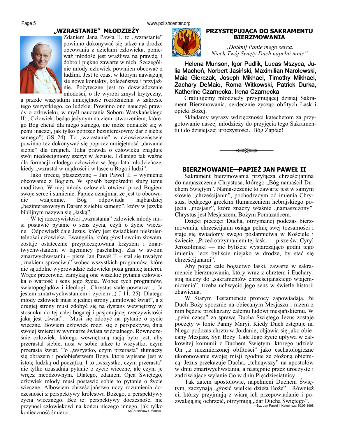# **"WZRASTANIE" MŁODZIEŻY**



Zdaniem Jana Pawła II, to "wzrastanie" powinno dokonywać się także na drodze obcowania z dziełami człowieka, ponieważ młodość jest wrażliwa na prawdę, i dobro i piękno zawarte w nich. Szczególnie młody człowiek powinien obcować z ludźmi. Jest to czas, w którym nawiązują się nowe kontakty, koleżeństwa i przyjaźnie. Pożyteczne jest to doświadczenie młodości, o ile wyrobi zmysł krytyczny,

a przede wszystkim umiejętność rozróżnienia w zakresie tego wszystkiego, co ludzkie. Powinno ono nauczyć prawdy o człowieku, w myśl nauczania Soboru Watykańskiego II: "Człowiek, będąc jedynym na ziemi stworzeniem, którego Bóg chciał dla niego samego, nie może odnaleźć się w pełni inaczej, jak tylko poprzez bezinteresowny dar z siebie samego"( GS 24). To "wzrastanie" w człowieczeństwie powinno też dokonywać się poprzez umiejętność "dawania siebie" dla drugich. Taka prawda o człowieku znajduje swój niedościgniony szczyt w Jezusie. I dlatego tak ważne dla formacji młodego człowieka są Jego lata młodzieńcze, kiedy "wzrastał w madrości i w łasce u Boga i ludzi".

Jako trzecią płaszczyznę – Jan Paweł II – wymienia obcowanie z Bogiem. W sposób bezpośredni służy temu modlitwa. W niej młody człowiek otwiera przed Bogiem swoje serce i sumienie. Papież oznajmia, że jest to obcowanie wzajemne. Bóg odpowiada najbardziej "bezinteresownym Darem z siebie samego", który w języku biblijnym nazywa się "łaską".

W tej rzeczywistości "wzrastania" człowiek młody musi postawić pytanie o sens życia, czyli o życie wieczne. Odpowiedź daje Jezus, który jest świadkiem nieśmiertelności człowieka. Ewangelia, którą głosił swoim słowem, zostaje ostatecznie przypieczętowana krzyżem i zmartwychwstaniem w tajemnicy paschalnej. Zaś w swoim zmartwychwstaniu – pisze Jan Paweł II – stał się trwałym "znakiem sprzeciwu" wobec wszystkich programów, które nie są zdolne wyprowadzić człowieka poza granicę śmierci. Wręcz przeciwne, zamykają one wszelkie pytania człowieka o wartość i sens jego życia. Wobec tych programów, światopoglądów i ideologii, Chrystus stale powtarza: "Ja jestem zmartwychwstaniem i życiem  $($  J 11, 25). Dlatego młody człowiek musi z jednej strony "umiłować świat", a z drugiej strony musi zdobyć się na dystans wewnętrzny w stosunku do tej całej bogatej i pasjonującej rzeczywistości jaką jest "świat". Musi się zdobyć na pytanie o życie wieczne. Bowiem człowiek rodzi się z perspektywą dnia swojej śmierci w wymiarze świata widzialnego. Równocześnie człowiek, którego wewnętrzną racją bytu jest, aby przerastał siebie, nosi w sobie także to wszystko, czym przerasta świat. To "wszystko, czym przerasta" tłumaczy się obrazem i podobieństwem Boga, które wpisane jest w istotę ludzką od początku. I to "wszystko, czym przerasta" nie tylko uzasadnia pytanie o życie wieczne, ale czyni je wręcz nieodzownym. Dlatego, zdaniem Ojca Świętego, człowiek młody musi postawić sobie to pytanie o życie wieczne. Albowiem chrześcijaństwo uczy rozumienia doczesności z perspektywy królestwa Bożego, z perspektywy życia wiecznego. Bez tej perspektywy doczesność, nie przynosi człowiekowi na końcu niczego innego, jak tylko<br>ks. Stanisław Urbański konieczność śmierci.



#### **PRZYSTĘPUJĄCA DO SAKRAMENTU BIERZMOWANIA**

*"Dotknij Panie mego serca. Niech Twój Święty Duch napełni mnie"* 

Helena Munson, Igor Pudlik, Lucas Mszyca, Julia Machoń, Norbert Jasiński, Maximilian Narolewski, Maia Gierczak, Joseph Mikhael, Timothy Mikhael, Zachary DeMaio, Roma Witkowski, Patrick Durka, Katherine Czarnecka, Irena Czarnecka

Gratulujemy młodzieży przyjmującej dzisiaj Sakrament Bierzmowania, serdecznie życząc obfitych Łask i opieki Bożej.

Składamy wyrazy wdzięczności katechetom za przygotowanie naszej młodzieży do przyjęcia tego Sakramentu i do dzisiejszej uroczystości. Bóg Zapłać!



#### **BIERZMOWANIE—PAPIEŻ JAN PAWEŁ II**

Sakrament bierzmowania przyłącza chrześcijanina do namaszczenia Chrystusa, którego "Bóg namaścił Duchem Świętym". Namaszczenie to zawarte jest w samym słowie "chrześcijanin", pochodzącym od imienia Chrystus, będącego greckim tłumaczeniem hebrajskiego pojęcia "mesjasz", które znaczy właśnie "namaszczony". Chrystus jest Mesjaszem, Bożym Pomazańcem.

Dzięki pieczęci Ducha, otrzymanej podczas bierzmowania, chrześcijanin osiąga pełnię swej tożsamości i staje się świadomy swego posłannictwa w Kościele i świecie. "Przed otrzymaniem tej łaski — pisze św. Cyryl Jerozolimski — nie byliście wystarczająco godni tego imienia, lecz byliście niejako w drodze, by stać się chrześcijanami".

Aby pojąć całe bogactwo łaski, zawarte w sakramencie bierzmowania, który wraz z chrztem i Eucharystią należy do "sakramentów chrześcijańskiego wtajemniczenia", trzeba uchwycić jego sens w świetle historii zbawienia.

W Starym Testamencie prorocy zapowiadają, że Duch Boży spocznie na obiecanym Mesjaszu i razem z nim będzie przekazany całemu ludowi mesjańskiemu. W "pełni czasu" za sprawą Ducha Świętego Jezus zostaje poczęty w łonie Panny Maryi. Kiedy Duch zstępuje na Niego podczas chrztu w Jordanie, objawia się jako obiecany Mesjasz, Syn Boży. Całe Jego życie upływa w całkowitej komunii z Duchem Świętym, którego udziela On "z niezmierzonej obfitości" jako eschatologiczne ukoronowanie swojej misji zgodnie ze złożoną obietnicą. Jezus przekazuje Ducha, "tchnąwszy" na apostołów w dniu zmartwychwstania, a następnie przez uroczyste i zadziwiające wylanie Go w dniu Pięćdziesiątnicy.

Tak zatem apostołowie, napełnieni Duchem Świętym, zaczynają "głosić wielkie dzieła Boże". Również ci, którzy przyjmują z wiarą ich przepowiadanie i pozwalają się ochrzcić, otrzymują "dar Ducha Świętego".<br>
Sw. Jan Paweł II Katecheza 30.09.1998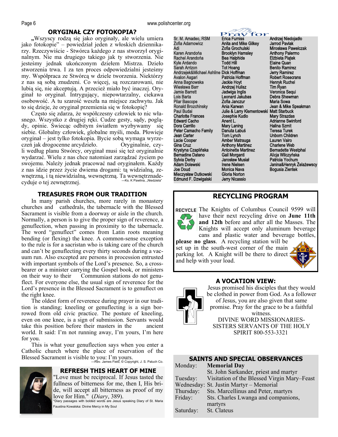#### **ORYGINAŁ CZY FOTOKOPIA?**

**"**Wszyscy rodzą się jako oryginały, ale wielu umiera jako fotokopie" – powiedział jeden z włoskich dziennikarzy. Rzeczywiście - Stwórca każdego z nas stworzył oryginalnym. Nie ma drugiego takiego jak ty stworzenia. Nie jesteśmy jednak ukończonym dziełem Mistrza. Dzieło stworzenia trwa. I za ten proces odpowiedzialni jesteśmy my. Współpraca ze Stwórcą w dziele tworzenia. Niektórzy z nas są sobą znudzeni. Co więcej, są rozczarowani, nie lubią się, nie akceptują. A przecież miało być inaczej. Oryginał to oryginał. Intrygujący, niepowtarzalny, ciekawa osobowość. A tu szarość weszła na miejsce zachwytu. Jak to się dzieje, że oryginał przemienia się w fotokopię?

Często się zdarza, że współczesny człowiek to nic własnego. Wszystko z drugiej ręki. Cudze gesty, sądy, poglądy, opinie. Świecąc odbitym światłem wyzbywamy się siebie. Globalny człowiek, globalne myśli, moda. Płowieje oryginał – jest tylko fotokopia. Bycie sobą wymaga wyrzeczeń jak drogocenne arcydzieło. Oryginalnie, czyli według planu Stwórcy, oryginał musi się też oryginalnie wydarzać. Wielu z nas chce natomiast zarządzać życiem po swojemu. Należy jednak pracować nad oryginałem. Każdy z nas idzie przez życie dwiema drogami: tą widzialną, zewnętrzną, i tą niewidzialną, wewnętrzną. Ta wewnętrznadecyduje o tej zewnętrznej.

#### **TREASURES FROM OUR TRADITION**

In many parish churches, more rarely in monastery churches and cathedrals, the tabernacle with the Blessed Sacrament is visible from a doorway or aisle in the church. Normally, a person is to give the proper sign of reverence, a genuflection, when passing in proximity to the tabernacle. The word "genuflect" comes from Latin roots meaning bending (or flexing) the knee. A common-sense exception to the rule is for a sacristan who is taking care of the church and can't be genuflecting every thirty seconds during a vacuum run. Also excepted are persons in procession entrusted with important symbols of the Lord's presence. So, a crossbearer or a minister carrying the Gospel book, or ministers on their way to their Communion stations do not genuflect. For everyone else, the usual sign of reverence for the Lord's presence in the Blessed Sacrament is to genuflect on the right knee.

The oldest form of reverence during prayer in our tradition is standing; kneeling or genuflecting is a sign borrowed from old civic practice. The posture of kneeling, even on one knee, is a sign of submission. Servants would take this position before their masters in the ancient world. It said: I'm not running away, I'm yours, I'm here for you.

This is what your genuflection says when you enter a Catholic church where the place of reservation of the Blessed Sacrament is visible to you: I'm yours.<br>—Rev. James Field, © Copyright, J. S. Paluch Co.



# **REFRESH THIS HEART OF MINE**

"Love must be reciprocal. If Jesus tasted the fullness of bitterness for me, then I, His bride, will accept all bitterness as proof of my love for Him." (*Diary*, 389). \*Diary passages with bolded words are Jesus speaking Diary of St. Maria

Faustina Kowalska: Divine Mercy in My Soul

Sr. M. Amadeo, RSM Zofia Adamowicz Adi Karen Arandońa Rachel Arandońa Kyle Ardando Sarah Arrizon Andrzejek&Michael Ashline Dick Hoffman Avalon Asgari Anna Bagnowska Wiesława Barr Jamie Barrett Lois Barta Pilar Bascope Ronald Brozchinsky Paul Budai Charlotte Frances Edward Cacho Dora Carrillo Peter Camacho Family Jean Carter Lacie Cooper Gina Cruz Krystyna Czaplińska Bernadine Dateno Sylvia Derby Adam Dolewski Joe Doud Mieczysław Dutkowski Edmund F. Dzwigalski



Anita and Mike Gilkey Zofia Grochulski Brooklyn Hamsley Bea Halphide Todd Hill Tot Hoang Patricia Hoffman Jackie Hoyt Andrzej Hulisz Jadwiga Inglis Leonard Jakubas Zofia Janczur Ania Karwan Julie & Larry Klementowski Matt Starbuck Josephie Kudlo Anent L. Mary Laning Danuta Łabuś Tom Lynch Amber Matrauga Anthony Martinez Antoinette Martinez Gail Morganti Jarosław Musiał Irene Nielsen Monica Nava Gloria Norton Jerry Nicassio

Andrzej Niedojadło Jarrod Pavlak Mirosława Pawelczak Anthony Palermo Elżbieta Piątek Elaine Quan Benito Ramirez Jerry Ramirez Robert Rosecrans Henryk Ruchel Tim Ryan Veronica Sequi Debra Shewman Maria Sowa Jean & Mike Speakman Mary Strazdas Adrianne Swinford Halina Szmit Teresa Turek Unborn Children Lauren Vairo Charlene Web Bernadette Westphal Alicja Wilczyńska Patricia Yochum Janina&Henryk Żelażewscy Bogusia Zientek

# **RECYCLING PROGRAM**

RECYCLE The Knights of Columbus Council 9599 will have their next recycling drive on **June 11th and 12th** before and after all the Masses. The Knights will accept only aluminum beverage cans and plastic water and beverage bottles,

**please no glass**. A recycling station will be set up in the south-west corner of the main parking lot. A Knight will be there to direct and help with your load.



# **A VOCATION VIEW:**



Jesus promised his disciples that they would be clothed in power from God. As a follower of Jesus, you are also given that same promise. Pray for the grace to be a faithful witness. DIVINE WORD MISSIONARIES-SISTERS SERVANTS OF THE HOLY SPIRIT 800-553-3321

#### **SAINTS AND SPECIAL OBSERVANCES**  Monday: **Memorial Day** St. John Sarkander, priest and martyr Tuesday: Visitation of the Blessed Virgin Mary–Feast Wednesday: St. Justin Martyr – Memorial Thursday: Sts. Marcellinus and Peter, martyrs Friday: Sts. Charles Lwanga and companions, martyrs Saturday: St. Clateus